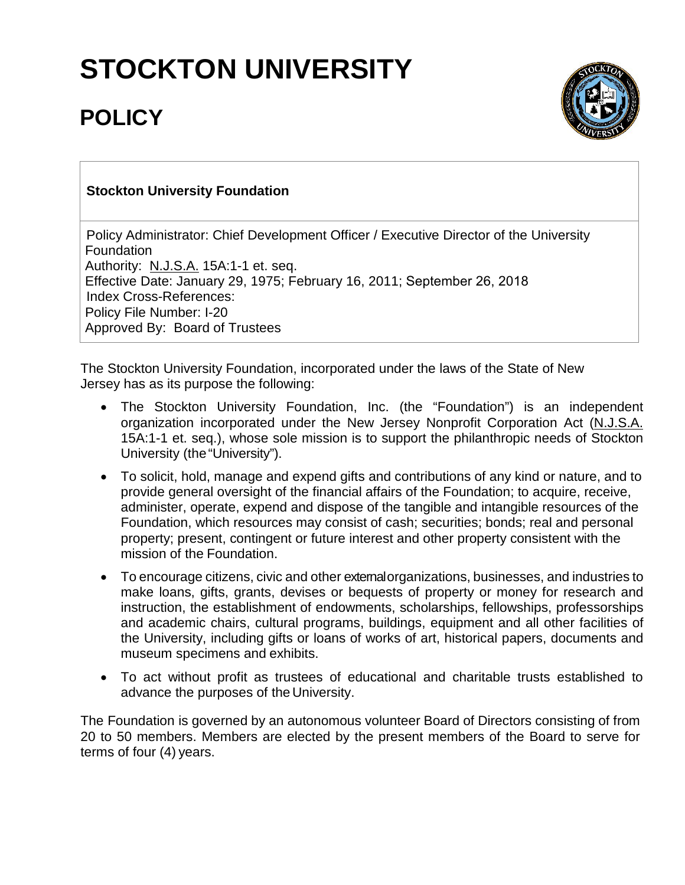## **STOCKTON UNIVERSITY**

## **POLICY**



## **Stockton University Foundation**

Policy Administrator: Chief Development Officer / Executive Director of the University **Foundation** Authority: N.J.S.A. 15A:1-1 et. seq. Effective Date: January 29, 1975; February 16, 2011; September 26, 2018 Index Cross-References: Policy File Number: I-20 Approved By: Board of Trustees

The Stockton University Foundation, incorporated under the laws of the State of New Jersey has as its purpose the following:

- The Stockton University Foundation, Inc. (the "Foundation") is an independent organization incorporated under the New Jersey Nonprofit Corporation Act (N.J.S.A. 15A:1-1 et. seq.), whose sole mission is to support the philanthropic needs of Stockton University (the"University").
- To solicit, hold, manage and expend gifts and contributions of any kind or nature, and to provide general oversight of the financial affairs of the Foundation; to acquire, receive, administer, operate, expend and dispose of the tangible and intangible resources of the Foundation, which resources may consist of cash; securities; bonds; real and personal property; present, contingent or future interest and other property consistent with the mission of the Foundation.
- To encourage citizens, civic and other externalorganizations, businesses, and industries to make loans, gifts, grants, devises or bequests of property or money for research and instruction, the establishment of endowments, scholarships, fellowships, professorships and academic chairs, cultural programs, buildings, equipment and all other facilities of the University, including gifts or loans of works of art, historical papers, documents and museum specimens and exhibits.
- To act without profit as trustees of educational and charitable trusts established to advance the purposes of the University.

The Foundation is governed by an autonomous volunteer Board of Directors consisting of from 20 to 50 members. Members are elected by the present members of the Board to serve for terms of four (4) years.